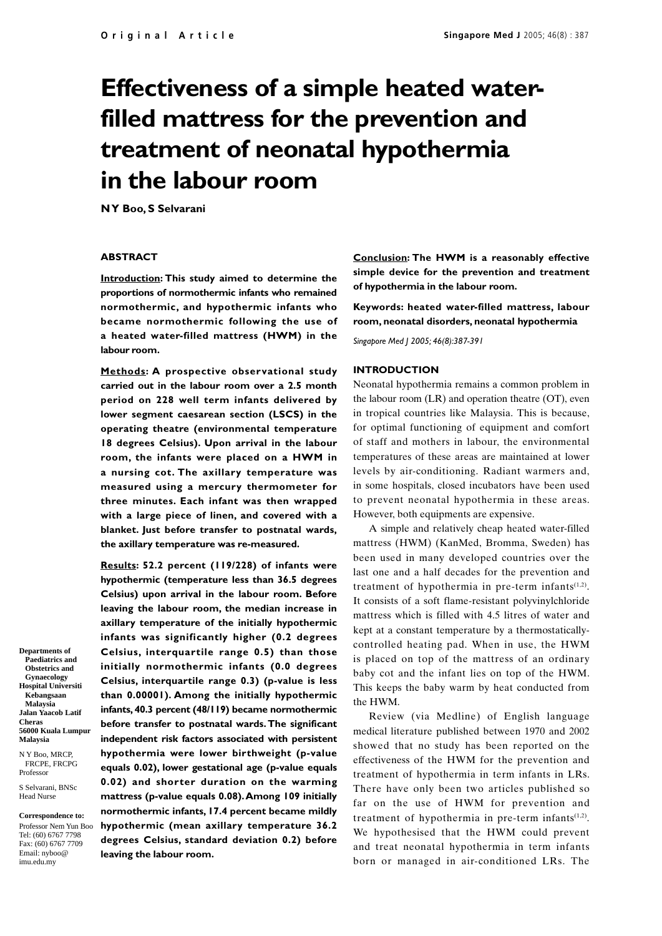# **Effectiveness of a simple heated waterfilled mattress for the prevention and treatment of neonatal hypothermia in the labour room**

**N Y Boo, S Selvarani**

#### **ABSTRACT**

**Introduction: This study aimed to determine the proportions of normothermic infants who remained normothermic, and hypothermic infants who became normothermic following the use of a heated water-filled mattress (HWM) in the labour room.**

**Methods: A prospective observational study carried out in the labour room over a 2.5 month period on 228 well term infants delivered by lower segment caesarean section (LSCS) in the operating theatre (environmental temperature 18 degrees Celsius). Upon arrival in the labour room, the infants were placed on a HWM in a nursing cot. The axillary temperature was measured using a mercury thermometer for three minutes. Each infant was then wrapped with a large piece of linen, and covered with a blanket. Just before transfer to postnatal wards, the axillary temperature was re-measured.**

**Results: 52.2 percent (119/228) of infants were hypothermic (temperature less than 36.5 degrees Celsius) upon arrival in the labour room. Before leaving the labour room, the median increase in axillary temperature of the initially hypothermic infants was significantly higher (0.2 degrees Celsius, interquartile range 0.5) than those initially normothermic infants (0.0 degrees Celsius, interquartile range 0.3) (p-value is less than 0.00001). Among the initially hypothermic infants, 40.3 percent (48/119) became normothermic before transfer to postnatal wards. The significant independent risk factors associated with persistent hypothermia were lower birthweight (p-value equals 0.02), lower gestational age (p-value equals 0.02) and shorter duration on the warming mattress (p-value equals 0.08). Among 109 initially normothermic infants, 17.4 percent became mildly hypothermic (mean axillary temperature 36.2 degrees Celsius, standard deviation 0.2) before leaving the labour room.**

**Conclusion: The HWM is a reasonably effective simple device for the prevention and treatment of hypothermia in the labour room.**

**Keywords: heated water-filled mattress, labour room, neonatal disorders, neonatal hypothermia**

*Singapore Med J 2005; 46(8):387-391*

## **INTRODUCTION**

Neonatal hypothermia remains a common problem in the labour room (LR) and operation theatre (OT), even in tropical countries like Malaysia. This is because, for optimal functioning of equipment and comfort of staff and mothers in labour, the environmental temperatures of these areas are maintained at lower levels by air-conditioning. Radiant warmers and, in some hospitals, closed incubators have been used to prevent neonatal hypothermia in these areas. However, both equipments are expensive.

A simple and relatively cheap heated water-filled mattress (HWM) (KanMed, Bromma, Sweden) has been used in many developed countries over the last one and a half decades for the prevention and treatment of hypothermia in pre-term infants $(1,2)$ . It consists of a soft flame-resistant polyvinylchloride mattress which is filled with 4.5 litres of water and kept at a constant temperature by a thermostaticallycontrolled heating pad. When in use, the HWM is placed on top of the mattress of an ordinary baby cot and the infant lies on top of the HWM. This keeps the baby warm by heat conducted from the HWM.

Review (via Medline) of English language medical literature published between 1970 and 2002 showed that no study has been reported on the effectiveness of the HWM for the prevention and treatment of hypothermia in term infants in LRs. There have only been two articles published so far on the use of HWM for prevention and treatment of hypothermia in pre-term infants $(1,2)$ . We hypothesised that the HWM could prevent and treat neonatal hypothermia in term infants born or managed in air-conditioned LRs. The

**Departments of Paediatrics and Obstetrics and Gynaecology Hospital Universiti Kebangsaan Malaysia Jalan Yaacob Latif Cheras 56000 Kuala Lumpur Malaysia**

N Y Boo, MRCP, FRCPE, FRCPG Professor S Selvarani, BNSc

Head Nurse

**Correspondence to:** Professor Nem Yun Boo Tel: (60) 6767 7708

Fax: (60) 6767 7709 Email: nyboo@ imu.edu.my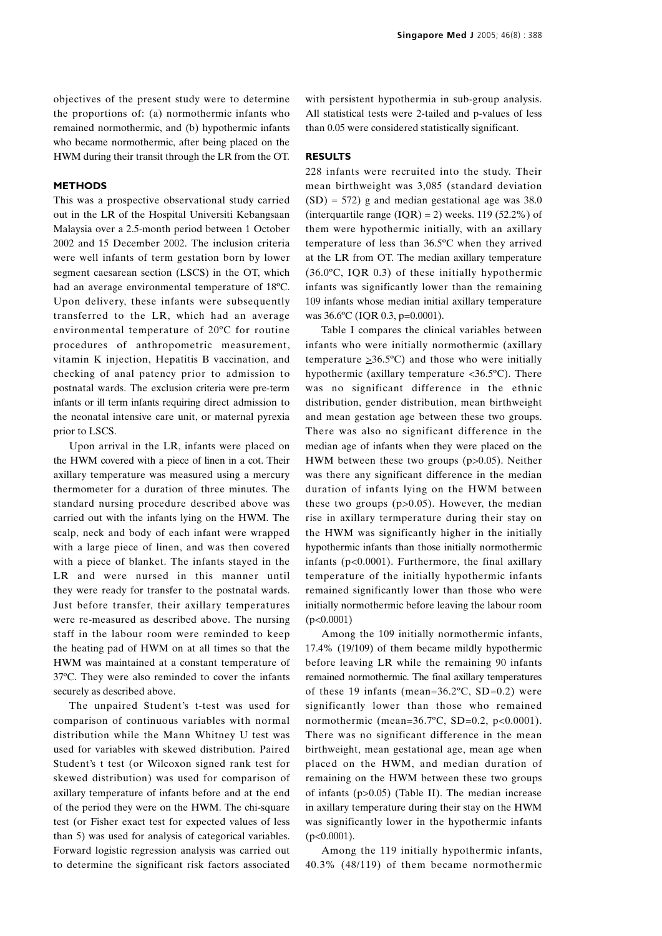objectives of the present study were to determine the proportions of: (a) normothermic infants who remained normothermic, and (b) hypothermic infants who became normothermic, after being placed on the HWM during their transit through the LR from the OT.

## **METHODS**

This was a prospective observational study carried out in the LR of the Hospital Universiti Kebangsaan Malaysia over a 2.5-month period between 1 October 2002 and 15 December 2002. The inclusion criteria were well infants of term gestation born by lower segment caesarean section (LSCS) in the OT, which had an average environmental temperature of 18ºC. Upon delivery, these infants were subsequently transferred to the LR, which had an average environmental temperature of 20ºC for routine procedures of anthropometric measurement, vitamin K injection, Hepatitis B vaccination, and checking of anal patency prior to admission to postnatal wards. The exclusion criteria were pre-term infants or ill term infants requiring direct admission to the neonatal intensive care unit, or maternal pyrexia prior to LSCS.

Upon arrival in the LR, infants were placed on the HWM covered with a piece of linen in a cot. Their axillary temperature was measured using a mercury thermometer for a duration of three minutes. The standard nursing procedure described above was carried out with the infants lying on the HWM. The scalp, neck and body of each infant were wrapped with a large piece of linen, and was then covered with a piece of blanket. The infants stayed in the LR and were nursed in this manner until they were ready for transfer to the postnatal wards. Just before transfer, their axillary temperatures were re-measured as described above. The nursing staff in the labour room were reminded to keep the heating pad of HWM on at all times so that the HWM was maintained at a constant temperature of 37ºC. They were also reminded to cover the infants securely as described above.

The unpaired Student's t-test was used for comparison of continuous variables with normal distribution while the Mann Whitney U test was used for variables with skewed distribution. Paired Student's t test (or Wilcoxon signed rank test for skewed distribution) was used for comparison of axillary temperature of infants before and at the end of the period they were on the HWM. The chi-square test (or Fisher exact test for expected values of less than 5) was used for analysis of categorical variables. Forward logistic regression analysis was carried out to determine the significant risk factors associated with persistent hypothermia in sub-group analysis. All statistical tests were 2-tailed and p-values of less than 0.05 were considered statistically significant.

# **RESULTS**

228 infants were recruited into the study. Their mean birthweight was 3,085 (standard deviation  $(SD) = 572$ ) g and median gestational age was 38.0 (interquartile range  $(IQR) = 2$ ) weeks. 119 (52.2%) of them were hypothermic initially, with an axillary temperature of less than 36.5ºC when they arrived at the LR from OT. The median axillary temperature (36.0ºC, IQR 0.3) of these initially hypothermic infants was significantly lower than the remaining 109 infants whose median initial axillary temperature was 36.6°C (IQR 0.3, p=0.0001).

Table I compares the clinical variables between infants who were initially normothermic (axillary temperature  $\geq 36.5^{\circ}$ C) and those who were initially hypothermic (axillary temperature <36.5ºC). There was no significant difference in the ethnic distribution, gender distribution, mean birthweight and mean gestation age between these two groups. There was also no significant difference in the median age of infants when they were placed on the HWM between these two groups (p>0.05). Neither was there any significant difference in the median duration of infants lying on the HWM between these two groups (p>0.05). However, the median rise in axillary termperature during their stay on the HWM was significantly higher in the initially hypothermic infants than those initially normothermic infants (p<0.0001). Furthermore, the final axillary temperature of the initially hypothermic infants remained significantly lower than those who were initially normothermic before leaving the labour room  $(p<0.0001)$ 

Among the 109 initially normothermic infants, 17.4% (19/109) of them became mildly hypothermic before leaving LR while the remaining 90 infants remained normothermic. The final axillary temperatures of these 19 infants (mean=36.2ºC, SD=0.2) were significantly lower than those who remained normothermic (mean= $36.7^{\circ}$ C, SD= $0.2$ , p< $0.0001$ ). There was no significant difference in the mean birthweight, mean gestational age, mean age when placed on the HWM, and median duration of remaining on the HWM between these two groups of infants (p>0.05) (Table II). The median increase in axillary temperature during their stay on the HWM was significantly lower in the hypothermic infants  $(p<0.0001)$ .

Among the 119 initially hypothermic infants, 40.3% (48/119) of them became normothermic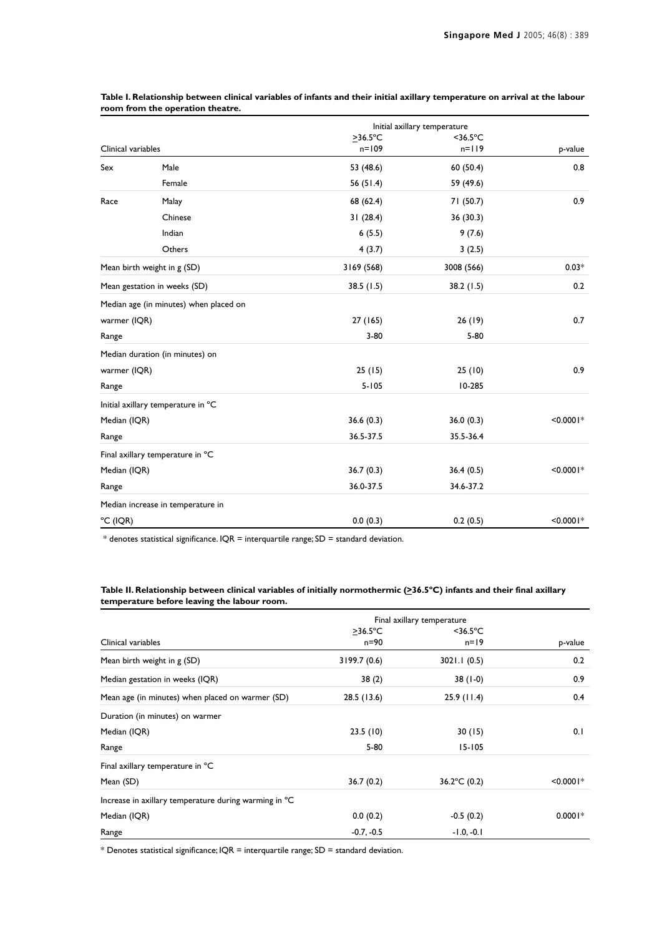|                              |                                        | Initial axillary temperature |                       |             |  |
|------------------------------|----------------------------------------|------------------------------|-----------------------|-------------|--|
|                              |                                        | ≥36.5°C                      | $<$ 36.5 $^{\circ}$ C |             |  |
| Clinical variables           |                                        | $n = 109$                    | $n=119$               | p-value     |  |
| Sex                          | Male                                   | 53 (48.6)                    | 60(50.4)              | 0.8         |  |
|                              | Female                                 | 56 $(51.4)$                  | 59 (49.6)             |             |  |
| Race                         | Malay                                  | 68 (62.4)                    | 71(50.7)              | 0.9         |  |
|                              | Chinese                                | 31(28.4)                     | 36(30.3)              |             |  |
|                              | Indian                                 | 6(5.5)                       | 9(7.6)                |             |  |
|                              | Others                                 | 4(3.7)                       | 3(2.5)                |             |  |
| Mean birth weight in g (SD)  |                                        | 3169 (568)                   | 3008 (566)            | $0.03*$     |  |
| Mean gestation in weeks (SD) |                                        | 38.5 (1.5)                   | 38.2 (1.5)            | 0.2         |  |
|                              | Median age (in minutes) when placed on |                              |                       |             |  |
| warmer (IQR)                 |                                        | 27 (165)                     | 26(19)                | 0.7         |  |
| Range                        |                                        | $3 - 80$                     | $5 - 80$              |             |  |
|                              | Median duration (in minutes) on        |                              |                       |             |  |
| warmer (IQR)                 |                                        | 25(15)                       | 25(10)                | 0.9         |  |
| Range                        |                                        | $5 - 105$                    | 10-285                |             |  |
|                              | Initial axillary temperature in °C     |                              |                       |             |  |
| Median (IQR)                 |                                        | 36.6(0.3)                    | 36.0(0.3)             | $<0.0001*$  |  |
| Range                        |                                        | 36.5-37.5                    | 35.5-36.4             |             |  |
|                              | Final axillary temperature in °C       |                              |                       |             |  |
| Median (IQR)                 |                                        | 36.7(0.3)                    | 36.4(0.5)             | $< 0.0001*$ |  |
| Range                        |                                        | 36.0-37.5                    | 34.6-37.2             |             |  |
|                              | Median increase in temperature in      |                              |                       |             |  |
| °C (IQR)                     |                                        | 0.0(0.3)                     | 0.2(0.5)              | $< 0.0001*$ |  |

**Table I. Relationship between clinical variables of infants and their initial axillary temperature on arrival at the labour room from the operation theatre.**

 $*$  denotes statistical significance. IQR = interquartile range; SD = standard deviation.

## Table II. Relationship between clinical variables of initially normothermic (236.5°C) infants and their final axillary **temperature before leaving the labour room.**

|                                                       | Final axillary temperature |                        |             |  |
|-------------------------------------------------------|----------------------------|------------------------|-------------|--|
|                                                       | $>36.5^{\circ}$ C          | $<$ 36.5 $\degree$ C   |             |  |
| Clinical variables                                    | n=90                       | $n = 19$               | p-value     |  |
| Mean birth weight in g (SD)                           | 3199.7 (0.6)               | 3021.1(0.5)            | 0.2         |  |
| Median gestation in weeks (IQR)                       | 38(2)                      | $38(1-0)$              | 0.9         |  |
| Mean age (in minutes) when placed on warmer (SD)      | 28.5 (13.6)                | 25.9(11.4)             | 0.4         |  |
| Duration (in minutes) on warmer                       |                            |                        |             |  |
| Median (IQR)                                          | 23.5(10)                   | 30(15)                 | 0.1         |  |
| Range                                                 | $5 - 80$                   | $15 - 105$             |             |  |
| Final axillary temperature in °C                      |                            |                        |             |  |
| Mean (SD)                                             | 36.7(0.2)                  | 36.2 $\degree$ C (0.2) | $< 0.0001*$ |  |
| Increase in axillary temperature during warming in °C |                            |                        |             |  |
| Median (IQR)                                          | 0.0(0.2)                   | $-0.5(0.2)$            | $0.0001*$   |  |
| Range                                                 | $-0.7, -0.5$               | $-1.0, -0.1$           |             |  |

\* Denotes statistical significance; IQR = interquartile range; SD = standard deviation.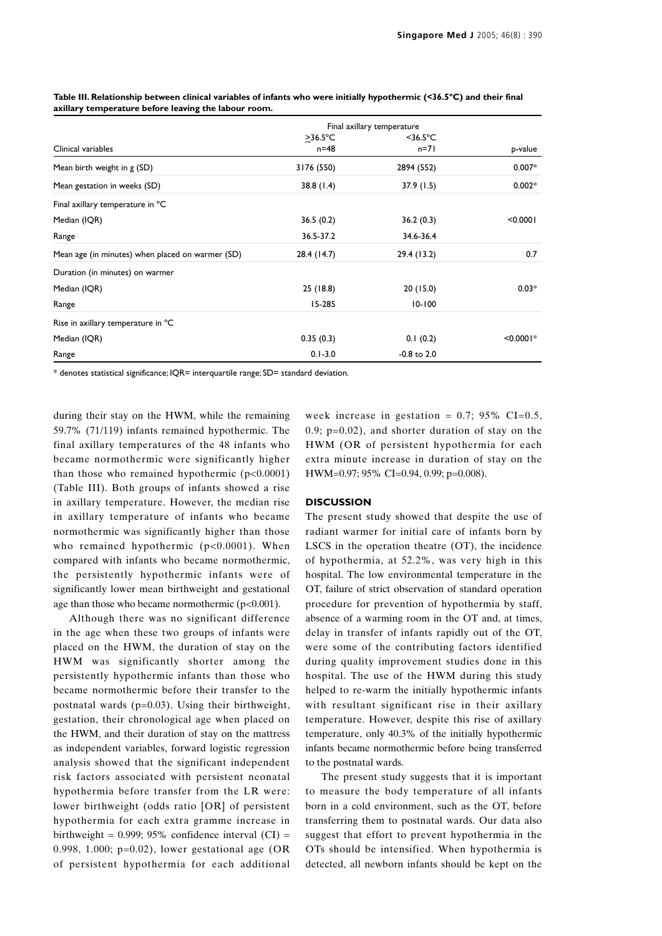|                                                  | Final axillary temperature |                      |             |  |
|--------------------------------------------------|----------------------------|----------------------|-------------|--|
|                                                  | $>36.5^{\circ}$ C          | $<$ 36.5 $\degree$ C |             |  |
| Clinical variables                               | $n = 48$                   | $n=71$               | p-value     |  |
| Mean birth weight in g (SD)                      | 3176 (550)                 | 2894 (552)           | $0.007*$    |  |
| Mean gestation in weeks (SD)                     | 38.8(1.4)                  | 37.9(1.5)            | $0.002*$    |  |
| Final axillary temperature in °C                 |                            |                      |             |  |
| Median (IQR)                                     | 36.5(0.2)                  | 36.2(0.3)            | < 0.0001    |  |
| Range                                            | 36.5-37.2                  | 34.6-36.4            |             |  |
| Mean age (in minutes) when placed on warmer (SD) | 28.4 (14.7)                | 29.4 (13.2)          | 0.7         |  |
| Duration (in minutes) on warmer                  |                            |                      |             |  |
| Median (IQR)                                     | 25(18.8)                   | 20(15.0)             | $0.03*$     |  |
| Range                                            | 15-285                     | $10 - 100$           |             |  |
| Rise in axillary temperature in °C               |                            |                      |             |  |
| Median (IQR)                                     | 0.35(0.3)                  | 0.1(0.2)             | $< 0.0001*$ |  |
| Range                                            | $0.1 - 3.0$                | $-0.8$ to $2.0$      |             |  |

**Table III. Relationship between clinical variables of infants who were initially hypothermic (<36.5ºC) and their final axillary temperature before leaving the labour room.**

\* denotes statistical significance; IQR= interquartile range; SD= standard deviation.

during their stay on the HWM, while the remaining 59.7% (71/119) infants remained hypothermic. The final axillary temperatures of the 48 infants who became normothermic were significantly higher than those who remained hypothermic (p<0.0001) (Table III). Both groups of infants showed a rise in axillary temperature. However, the median rise in axillary temperature of infants who became normothermic was significantly higher than those who remained hypothermic  $(p<0.0001)$ . When compared with infants who became normothermic, the persistently hypothermic infants were of significantly lower mean birthweight and gestational age than those who became normothermic  $(p<0.001)$ .

Although there was no significant difference in the age when these two groups of infants were placed on the HWM, the duration of stay on the HWM was significantly shorter among the persistently hypothermic infants than those who became normothermic before their transfer to the postnatal wards (p=0.03). Using their birthweight, gestation, their chronological age when placed on the HWM, and their duration of stay on the mattress as independent variables, forward logistic regression analysis showed that the significant independent risk factors associated with persistent neonatal hypothermia before transfer from the LR were: lower birthweight (odds ratio [OR] of persistent hypothermia for each extra gramme increase in birthweight =  $0.999$ ;  $95\%$  confidence interval (CI) = 0.998, 1.000; p=0.02), lower gestational age (OR of persistent hypothermia for each additional week increase in gestation =  $0.7$ ; 95% CI= $0.5$ , 0.9; p=0.02), and shorter duration of stay on the HWM (OR of persistent hypothermia for each extra minute increase in duration of stay on the HWM=0.97; 95% CI=0.94, 0.99; p=0.008).

## **DISCUSSION**

The present study showed that despite the use of radiant warmer for initial care of infants born by LSCS in the operation theatre (OT), the incidence of hypothermia, at 52.2%, was very high in this hospital. The low environmental temperature in the OT, failure of strict observation of standard operation procedure for prevention of hypothermia by staff, absence of a warming room in the OT and, at times, delay in transfer of infants rapidly out of the OT, were some of the contributing factors identified during quality improvement studies done in this hospital. The use of the HWM during this study helped to re-warm the initially hypothermic infants with resultant significant rise in their axillary temperature. However, despite this rise of axillary temperature, only 40.3% of the initially hypothermic infants became normothermic before being transferred to the postnatal wards.

The present study suggests that it is important to measure the body temperature of all infants born in a cold environment, such as the OT, before transferring them to postnatal wards. Our data also suggest that effort to prevent hypothermia in the OTs should be intensified. When hypothermia is detected, all newborn infants should be kept on the